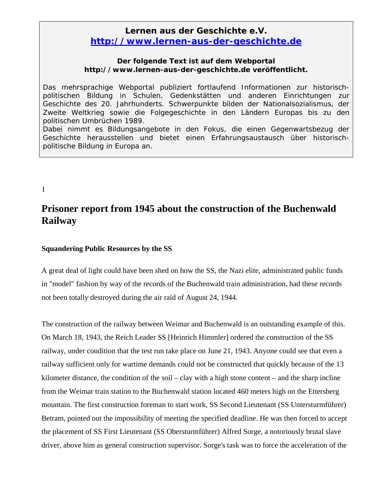## **Lernen aus der Geschichte e.V.**  *http://www.lernen-aus-der-geschichte.de*

## **Der folgende Text ist auf dem Webportal http://www.lernen-aus-der-geschichte.de veröffentlicht.**

Das mehrsprachige Webportal publiziert fortlaufend Informationen zur historischpolitischen Bildung in Schulen, Gedenkstätten und anderen Einrichtungen zur Geschichte des 20. Jahrhunderts. Schwerpunkte bilden der Nationalsozialismus, der Zweite Weltkrieg sowie die Folgegeschichte in den Ländern Europas bis zu den politischen Umbrüchen 1989. Dabei nimmt es Bildungsangebote in den Fokus, die einen Gegenwartsbezug der Geschichte herausstellen und bietet einen Erfahrungsaustausch über historisch-

1

## **Prisoner report from 1945 about the construction of the Buchenwald Railway**

## **Squandering Public Resources by the SS**

politische Bildung in Europa an.

A great deal of light could have been shed on how the SS, the Nazi elite, administrated public funds in "model" fashion by way of the records of the Buchenwald train administration, had these records not been totally destroyed during the air raid of August 24, 1944.

The construction of the railway between Weimar and Buchenwald is an outstanding example of this. On March 18, 1943, the Reich Leader SS [Heinrich Himmler] ordered the construction of the SS railway, under condition that the test run take place on June 21, 1943. Anyone could see that even a railway sufficient only for wartime demands could not be constructed that quickly because of the 13 kilometer distance, the condition of the soil – clay with a high stone content – and the sharp incline from the Weimar train station to the Buchenwald station located 460 meters high on the Ettersberg mountain. The first construction foreman to start work, SS Second Lieutenant (SS Untersturmführer) Betram, pointed out the impossibility of meeting the specified deadline. He was then forced to accept the placement of SS First Lieutenant (SS Obersturmführer) Alfred Sorge, a notoriously brutal slave driver, above him as general construction supervisor. Sorge's task was to force the acceleration of the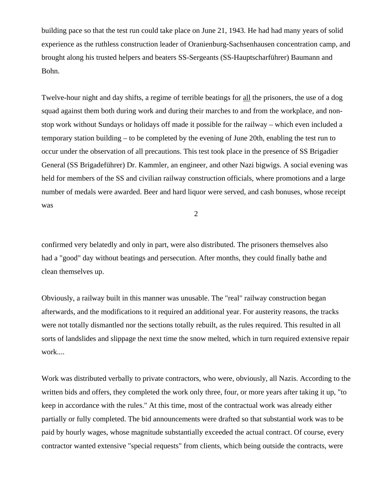building pace so that the test run could take place on June 21, 1943. He had had many years of solid experience as the ruthless construction leader of Oranienburg-Sachsenhausen concentration camp, and brought along his trusted helpers and beaters SS-Sergeants (SS-Hauptscharführer) Baumann and Bohn.

Twelve-hour night and day shifts, a regime of terrible beatings for all the prisoners, the use of a dog squad against them both during work and during their marches to and from the workplace, and nonstop work without Sundays or holidays off made it possible for the railway – which even included a temporary station building – to be completed by the evening of June 20th, enabling the test run to occur under the observation of all precautions. This test took place in the presence of SS Brigadier General (SS Brigadeführer) Dr. Kammler, an engineer, and other Nazi bigwigs. A social evening was held for members of the SS and civilian railway construction officials, where promotions and a large number of medals were awarded. Beer and hard liquor were served, and cash bonuses, whose receipt was

2

confirmed very belatedly and only in part, were also distributed. The prisoners themselves also had a "good" day without beatings and persecution. After months, they could finally bathe and clean themselves up.

Obviously, a railway built in this manner was unusable. The "real" railway construction began afterwards, and the modifications to it required an additional year. For austerity reasons, the tracks were not totally dismantled nor the sections totally rebuilt, as the rules required. This resulted in all sorts of landslides and slippage the next time the snow melted, which in turn required extensive repair work....

Work was distributed verbally to private contractors, who were, obviously, all Nazis. According to the written bids and offers, they completed the work only three, four, or more years after taking it up, "to keep in accordance with the rules." At this time, most of the contractual work was already either partially or fully completed. The bid announcements were drafted so that substantial work was to be paid by hourly wages, whose magnitude substantially exceeded the actual contract. Of course, every contractor wanted extensive "special requests" from clients, which being outside the contracts, were